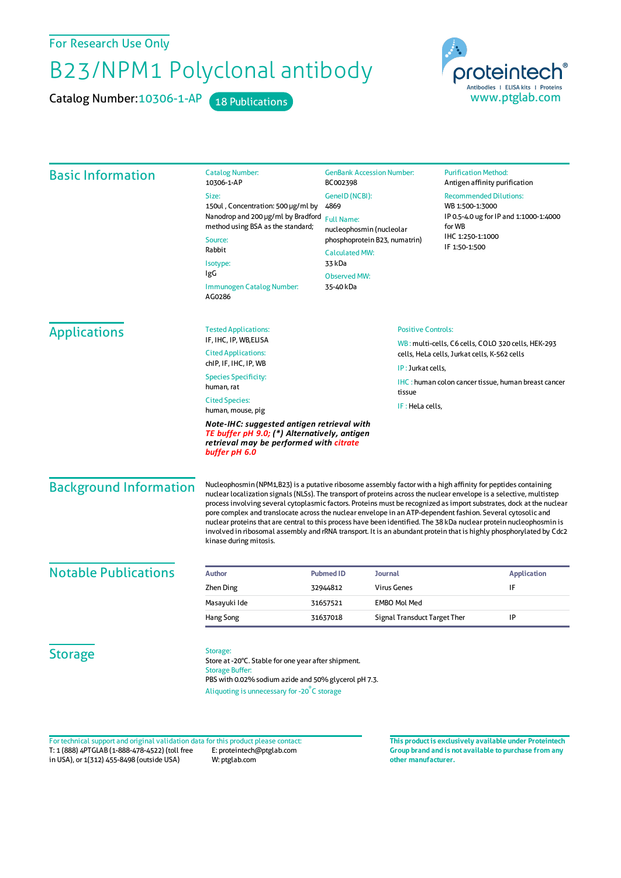For Research Use Only

## B23/NPM1 Polyclonal antibody

Catalog Number: 10306-1-AP 18 Publications



| <b>Basic Information</b>                                                                                                                               | <b>GenBank Accession Number:</b><br><b>Catalog Number:</b><br>10306-1-AP<br>BC002398                                                                                                                                                                                                                                                                                                                                                                                                                                                                                                                                                                                                                                                               |                                                                                                          |                              | <b>Purification Method:</b><br>Antigen affinity purification<br><b>Recommended Dilutions:</b><br>WB 1:500-1:3000<br>IP 0.5-4.0 ug for IP and 1:1000-1:4000<br>for WB<br>IHC 1:250-1:1000 |                                                    |                       |  |               |  |
|--------------------------------------------------------------------------------------------------------------------------------------------------------|----------------------------------------------------------------------------------------------------------------------------------------------------------------------------------------------------------------------------------------------------------------------------------------------------------------------------------------------------------------------------------------------------------------------------------------------------------------------------------------------------------------------------------------------------------------------------------------------------------------------------------------------------------------------------------------------------------------------------------------------------|----------------------------------------------------------------------------------------------------------|------------------------------|------------------------------------------------------------------------------------------------------------------------------------------------------------------------------------------|----------------------------------------------------|-----------------------|--|---------------|--|
|                                                                                                                                                        | Size:                                                                                                                                                                                                                                                                                                                                                                                                                                                                                                                                                                                                                                                                                                                                              | GenelD (NCBI):<br>4869<br><b>Full Name:</b><br>nucleophosmin (nucleolar<br>phosphoprotein B23, numatrin) |                              |                                                                                                                                                                                          |                                                    |                       |  |               |  |
|                                                                                                                                                        | 150ul, Concentration: 500 µg/ml by<br>Nanodrop and 200 µg/ml by Bradford<br>method using BSA as the standard;<br>Source:<br>Rabbit<br>Isotype:<br>IgG                                                                                                                                                                                                                                                                                                                                                                                                                                                                                                                                                                                              |                                                                                                          |                              |                                                                                                                                                                                          |                                                    |                       |  |               |  |
|                                                                                                                                                        |                                                                                                                                                                                                                                                                                                                                                                                                                                                                                                                                                                                                                                                                                                                                                    |                                                                                                          |                              |                                                                                                                                                                                          |                                                    | <b>Calculated MW:</b> |  | IF 1:50-1:500 |  |
|                                                                                                                                                        |                                                                                                                                                                                                                                                                                                                                                                                                                                                                                                                                                                                                                                                                                                                                                    |                                                                                                          |                              |                                                                                                                                                                                          |                                                    | 33 kDa                |  |               |  |
|                                                                                                                                                        |                                                                                                                                                                                                                                                                                                                                                                                                                                                                                                                                                                                                                                                                                                                                                    | <b>Observed MW:</b>                                                                                      |                              |                                                                                                                                                                                          |                                                    |                       |  |               |  |
|                                                                                                                                                        |                                                                                                                                                                                                                                                                                                                                                                                                                                                                                                                                                                                                                                                                                                                                                    | Immunogen Catalog Number:<br>AG0286                                                                      | 35-40 kDa                    |                                                                                                                                                                                          |                                                    |                       |  |               |  |
|                                                                                                                                                        |                                                                                                                                                                                                                                                                                                                                                                                                                                                                                                                                                                                                                                                                                                                                                    | <b>Applications</b>                                                                                      | <b>Tested Applications:</b>  |                                                                                                                                                                                          | <b>Positive Controls:</b>                          |                       |  |               |  |
|                                                                                                                                                        | IF, IHC, IP, WB, ELISA                                                                                                                                                                                                                                                                                                                                                                                                                                                                                                                                                                                                                                                                                                                             |                                                                                                          |                              |                                                                                                                                                                                          | WB: multi-cells, C6 cells, COLO 320 cells, HEK-293 |                       |  |               |  |
| <b>Cited Applications:</b><br>chip, IF, IHC, IP, WB<br><b>Species Specificity:</b><br>human, rat                                                       |                                                                                                                                                                                                                                                                                                                                                                                                                                                                                                                                                                                                                                                                                                                                                    |                                                                                                          |                              | cells, HeLa cells, Jurkat cells, K-562 cells                                                                                                                                             |                                                    |                       |  |               |  |
|                                                                                                                                                        |                                                                                                                                                                                                                                                                                                                                                                                                                                                                                                                                                                                                                                                                                                                                                    |                                                                                                          | IP: Jurkat cells,            |                                                                                                                                                                                          |                                                    |                       |  |               |  |
|                                                                                                                                                        |                                                                                                                                                                                                                                                                                                                                                                                                                                                                                                                                                                                                                                                                                                                                                    |                                                                                                          |                              | <b>IHC</b> : human colon cancer tissue, human breast cancer                                                                                                                              |                                                    |                       |  |               |  |
| <b>Cited Species:</b>                                                                                                                                  | tissue                                                                                                                                                                                                                                                                                                                                                                                                                                                                                                                                                                                                                                                                                                                                             |                                                                                                          |                              |                                                                                                                                                                                          |                                                    |                       |  |               |  |
| IF: HeLa cells,<br>human, mouse, pig                                                                                                                   |                                                                                                                                                                                                                                                                                                                                                                                                                                                                                                                                                                                                                                                                                                                                                    |                                                                                                          |                              |                                                                                                                                                                                          |                                                    |                       |  |               |  |
| Note-IHC: suggested antigen retrieval with<br>TE buffer pH 9.0; (*) Alternatively, antigen<br>retrieval may be performed with citrate<br>buffer pH 6.0 |                                                                                                                                                                                                                                                                                                                                                                                                                                                                                                                                                                                                                                                                                                                                                    |                                                                                                          |                              |                                                                                                                                                                                          |                                                    |                       |  |               |  |
| <b>Background Information</b>                                                                                                                          | Nucleophosmin (NPM1,B23) is a putative ribosome assembly factor with a high affinity for peptides containing<br>nuclear localization signals (NLSs). The transport of proteins across the nuclear envelope is a selective, multistep<br>process involving several cytoplasmic factors. Proteins must be recognized as import substrates, dock at the nuclear<br>pore complex and translocate across the nuclear envelope in an ATP-dependent fashion. Several cytosolic and<br>nuclear proteins that are central to this process have been identified. The 38 kDa nuclear protein nucleophosmin is<br>involved in ribosomal assembly and rRNA transport. It is an abundant protein that is highly phosphorylated by Cdc2<br>kinase during mitosis. |                                                                                                          |                              |                                                                                                                                                                                          |                                                    |                       |  |               |  |
| <b>Notable Publications</b>                                                                                                                            | <b>Author</b>                                                                                                                                                                                                                                                                                                                                                                                                                                                                                                                                                                                                                                                                                                                                      | <b>Pubmed ID</b>                                                                                         | Journal                      |                                                                                                                                                                                          | <b>Application</b>                                 |                       |  |               |  |
|                                                                                                                                                        | Zhen Ding                                                                                                                                                                                                                                                                                                                                                                                                                                                                                                                                                                                                                                                                                                                                          | 32944812                                                                                                 | <b>Virus Genes</b>           |                                                                                                                                                                                          | IF                                                 |                       |  |               |  |
|                                                                                                                                                        | Masayuki Ide                                                                                                                                                                                                                                                                                                                                                                                                                                                                                                                                                                                                                                                                                                                                       | 31657521                                                                                                 | <b>EMBO Mol Med</b>          |                                                                                                                                                                                          |                                                    |                       |  |               |  |
|                                                                                                                                                        | Hang Song                                                                                                                                                                                                                                                                                                                                                                                                                                                                                                                                                                                                                                                                                                                                          | 31637018                                                                                                 | Signal Transduct Target Ther |                                                                                                                                                                                          | IP                                                 |                       |  |               |  |
|                                                                                                                                                        |                                                                                                                                                                                                                                                                                                                                                                                                                                                                                                                                                                                                                                                                                                                                                    |                                                                                                          |                              |                                                                                                                                                                                          |                                                    |                       |  |               |  |
|                                                                                                                                                        |                                                                                                                                                                                                                                                                                                                                                                                                                                                                                                                                                                                                                                                                                                                                                    |                                                                                                          |                              |                                                                                                                                                                                          |                                                    |                       |  |               |  |

T: 1 (888) 4PTGLAB (1-888-478-4522) (toll free in USA), or 1(312) 455-8498 (outside USA) E: proteintech@ptglab.com W: ptglab.com Fortechnical support and original validation data forthis product please contact: **This productis exclusively available under Proteintech**

**Group brand and is not available to purchase from any other manufacturer.**